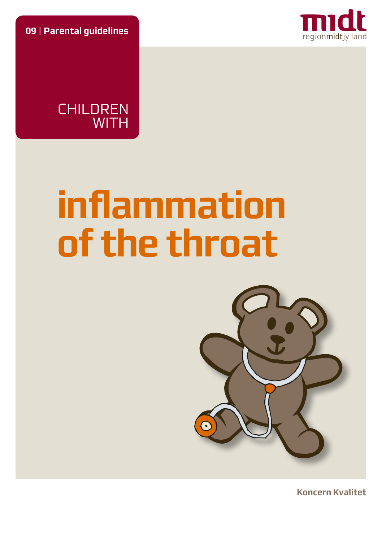**09** | **Parental guidelines**



**CHILDREN WITH** 

# **inflammation of the throat**



**Koncern Kvalitet**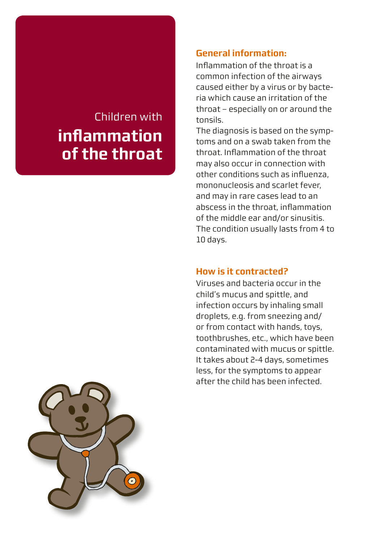# Children with **inflammation of the throat**

# **General information:**

Inflammation of the throat is a common infection of the airways caused either by a virus or by bacteria which cause an irritation of the throat – especially on or around the tonsils.

The diagnosis is based on the symptoms and on a swab taken from the throat. Inflammation of the throat may also occur in connection with other conditions such as influenza, mononucleosis and scarlet fever, and may in rare cases lead to an abscess in the throat, inflammation of the middle ear and/or sinusitis. The condition usually lasts from 4 to 10 days.

### **How is it contracted?**

Viruses and bacteria occur in the child's mucus and spittle, and infection occurs by inhaling small droplets, e.g. from sneezing and/ or from contact with hands, toys, toothbrushes, etc., which have been contaminated with mucus or spittle. It takes about 2-4 days, sometimes less, for the symptoms to appear after the child has been infected.

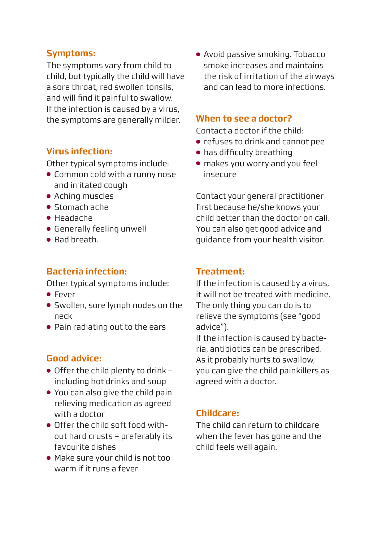### **Symptoms:**

The symptoms vary from child to child, but typically the child will have a sore throat, red swollen tonsils, and will find it painful to swallow. If the infection is caused by a virus, the symptoms are generally milder.

# **Virus infection:**

Other typical symptoms include:

- Common cold with a runny nose and irritated cough
- Aching muscles
- Stomach ache
- Headache
- Generally feeling unwell
- Bad breath.

# **Bacteria infection:**

Other typical symptoms include:

- Fever
- Swollen, sore lymph nodes on the neck
- Pain radiating out to the ears

# **Good advice:**

- Offer the child plenty to drink including hot drinks and soup
- You can also give the child pain relieving medication as agreed with a doctor
- Offer the child soft food without hard crusts – preferably its favourite dishes
- Make sure your child is not too warm if it runs a fever

● Avoid passive smoking. Tobacco smoke increases and maintains the risk of irritation of the airways and can lead to more infections.

#### **When to see a doctor?**

Contact a doctor if the child:

- refuses to drink and cannot pee
- has difficulty breathing
- makes you worry and you feel insecure

Contact your general practitioner first because he/she knows your child better than the doctor on call. You can also get good advice and guidance from your health visitor.

### **Treatment:**

If the infection is caused by a virus, it will not be treated with medicine. The only thing you can do is to relieve the symptoms (see "good advice").

If the infection is caused by bacteria, antibiotics can be prescribed. As it probably hurts to swallow, you can give the child painkillers as agreed with a doctor.

### **Childcare:**

The child can return to childcare when the fever has gone and the child feels well again.